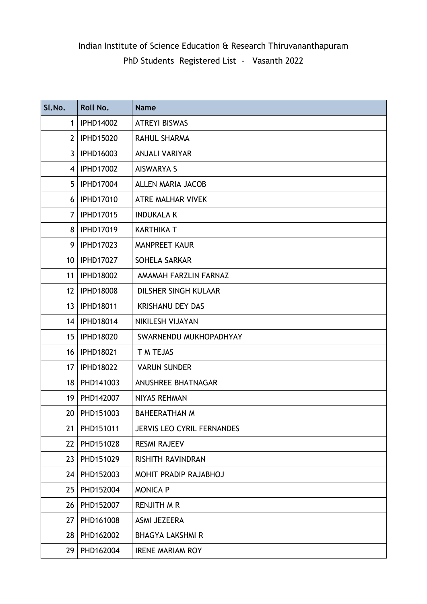# Indian Institute of Science Education & Research Thiruvananthapuram PhD Students Registered List - Vasanth 2022

| SI.No.          | Roll No.         | <b>Name</b>                       |
|-----------------|------------------|-----------------------------------|
| $\mathbf 1$     | <b>IPHD14002</b> | <b>ATREYI BISWAS</b>              |
| 2 <sup>1</sup>  | <b>IPHD15020</b> | <b>RAHUL SHARMA</b>               |
| 3 <sup>1</sup>  | <b>IPHD16003</b> | <b>ANJALI VARIYAR</b>             |
| $\overline{4}$  | <b>IPHD17002</b> | <b>AISWARYA S</b>                 |
| 5               | <b>IPHD17004</b> | <b>ALLEN MARIA JACOB</b>          |
| 6               | <b>IPHD17010</b> | <b>ATRE MALHAR VIVEK</b>          |
| 7               | <b>IPHD17015</b> | <b>INDUKALA K</b>                 |
| 8               | <b>IPHD17019</b> | <b>KARTHIKA T</b>                 |
| 9               | <b>IPHD17023</b> | <b>MANPREET KAUR</b>              |
| 10 <sup>°</sup> | <b>IPHD17027</b> | SOHELA SARKAR                     |
| 11              | <b>IPHD18002</b> | AMAMAH FARZLIN FARNAZ             |
| 12 <sup>2</sup> | <b>IPHD18008</b> | DILSHER SINGH KULAAR              |
| 13              | <b>IPHD18011</b> | <b>KRISHANU DEY DAS</b>           |
| 14              | <b>IPHD18014</b> | NIKILESH VIJAYAN                  |
| 15 <sub>1</sub> | <b>IPHD18020</b> | SWARNENDU MUKHOPADHYAY            |
| 16              | <b>IPHD18021</b> | T M TEJAS                         |
| 17 <sup>2</sup> | <b>IPHD18022</b> | <b>VARUN SUNDER</b>               |
| 18              | PHD141003        | <b>ANUSHREE BHATNAGAR</b>         |
| 19              | PHD142007        | <b>NIYAS REHMAN</b>               |
| 20              | PHD151003        | <b>BAHEERATHAN M</b>              |
| 21              | PHD151011        | <b>JERVIS LEO CYRIL FERNANDES</b> |
| 22              | PHD151028        | <b>RESMI RAJEEV</b>               |
| 23              | PHD151029        | <b>RISHITH RAVINDRAN</b>          |
| 24              | PHD152003        | MOHIT PRADIP RAJABHOJ             |
| 25              | PHD152004        | <b>MONICA P</b>                   |
| 26              | PHD152007        | <b>RENJITH M R</b>                |
| 27              | PHD161008        | ASMI JEZEERA                      |
| 28              | PHD162002        | <b>BHAGYA LAKSHMI R</b>           |
| 29              | PHD162004        | <b>IRENE MARIAM ROY</b>           |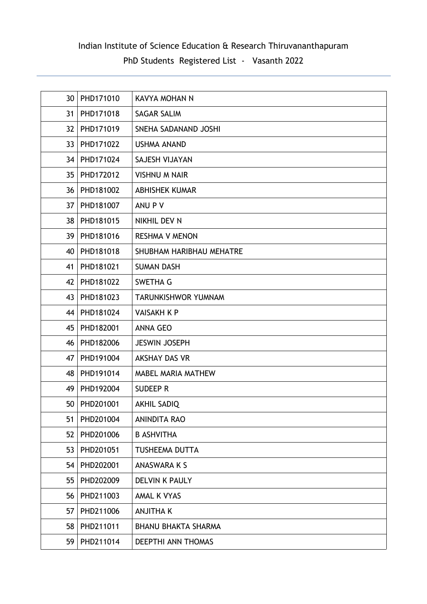| 30              | PHD171010      | KAVYA MOHAN N              |
|-----------------|----------------|----------------------------|
| 31              | PHD171018      | <b>SAGAR SALIM</b>         |
| 32 <sub>2</sub> | PHD171019      | SNEHA SADANAND JOSHI       |
| 33 <sup>2</sup> | PHD171022      | <b>USHMA ANAND</b>         |
|                 | 34   PHD171024 | SAJESH VIJAYAN             |
| 35 <sub>1</sub> | PHD172012      | <b>VISHNU M NAIR</b>       |
| 36 <sup>°</sup> | PHD181002      | <b>ABHISHEK KUMAR</b>      |
| 37              | PHD181007      | ANU P V                    |
| 38              | PHD181015      | NIKHIL DEV N               |
| 39              | PHD181016      | <b>RESHMA V MENON</b>      |
| 40              | PHD181018      | SHUBHAM HARIBHAU MEHATRE   |
| 41              | PHD181021      | <b>SUMAN DASH</b>          |
| 42              | PHD181022      | <b>SWETHA G</b>            |
| 43              | PHD181023      | TARUNKISHWOR YUMNAM        |
| 44              | PHD181024      | <b>VAISAKH K P</b>         |
| 45              | PHD182001      | <b>ANNA GEO</b>            |
| 46              | PHD182006      | <b>JESWIN JOSEPH</b>       |
| 47              | PHD191004      | AKSHAY DAS VR              |
| 48              | PHD191014      | <b>MABEL MARIA MATHEW</b>  |
| 49              | PHD192004      | <b>SUDEEP R</b>            |
| 50              | PHD201001      | <b>AKHIL SADIQ</b>         |
| 51              | PHD201004      | <b>ANINDITA RAO</b>        |
| 52              | PHD201006      | <b>B ASHVITHA</b>          |
| 53              | PHD201051      | TUSHEEMA DUTTA             |
| 54              | PHD202001      | ANASWARA K S               |
| 55              | PHD202009      | <b>DELVIN K PAULY</b>      |
| 56              | PHD211003      | AMAL K VYAS                |
| 57              | PHD211006      | <b>ANJITHAK</b>            |
| 58              | PHD211011      | <b>BHANU BHAKTA SHARMA</b> |
| 59              | PHD211014      | DEEPTHI ANN THOMAS         |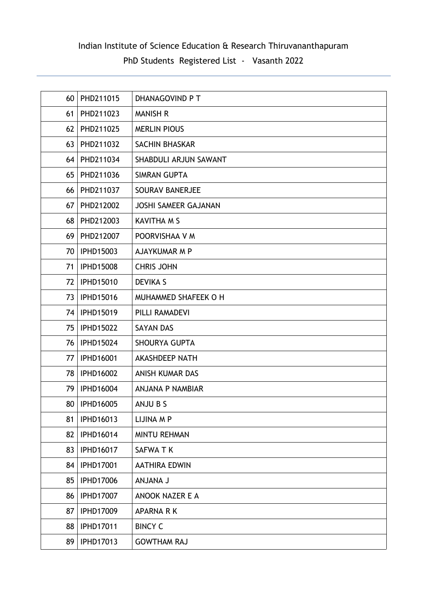| 60 | PHD211015        | DHANAGOVIND P T             |
|----|------------------|-----------------------------|
| 61 | PHD211023        | <b>MANISH R</b>             |
| 62 | PHD211025        | <b>MERLIN PIOUS</b>         |
| 63 | PHD211032        | SACHIN BHASKAR              |
| 64 | PHD211034        | SHABDULI ARJUN SAWANT       |
| 65 | PHD211036        | <b>SIMRAN GUPTA</b>         |
| 66 | PHD211037        | <b>SOURAV BANERJEE</b>      |
| 67 | PHD212002        | <b>JOSHI SAMEER GAJANAN</b> |
| 68 | PHD212003        | <b>KAVITHA M S</b>          |
| 69 | PHD212007        | POORVISHAA V M              |
| 70 | <b>IPHD15003</b> | AJAYKUMAR M P               |
| 71 | <b>IPHD15008</b> | <b>CHRIS JOHN</b>           |
| 72 | <b>IPHD15010</b> | <b>DEVIKA S</b>             |
| 73 | <b>IPHD15016</b> | MUHAMMED SHAFEEK O H        |
| 74 | <b>IPHD15019</b> | PILLI RAMADEVI              |
| 75 | <b>IPHD15022</b> | <b>SAYAN DAS</b>            |
| 76 | <b>IPHD15024</b> | <b>SHOURYA GUPTA</b>        |
| 77 | <b>IPHD16001</b> | <b>AKASHDEEP NATH</b>       |
| 78 | <b>IPHD16002</b> | ANISH KUMAR DAS             |
| 79 | <b>IPHD16004</b> | <b>ANJANA P NAMBIAR</b>     |
| 80 | <b>IPHD16005</b> | ANJU B S                    |
| 81 | IPHD16013        | LIJINA M P                  |
| 82 | <b>IPHD16014</b> | <b>MINTU REHMAN</b>         |
| 83 | <b>IPHD16017</b> | SAFWA TK                    |
| 84 | <b>IPHD17001</b> | <b>AATHIRA EDWIN</b>        |
| 85 | <b>IPHD17006</b> | <b>L ANALNA</b>             |
| 86 | <b>IPHD17007</b> | <b>ANOOK NAZER E A</b>      |
| 87 | <b>IPHD17009</b> | <b>APARNA RK</b>            |
| 88 | <b>IPHD17011</b> | <b>BINCY C</b>              |
| 89 | <b>IPHD17013</b> | <b>GOWTHAM RAJ</b>          |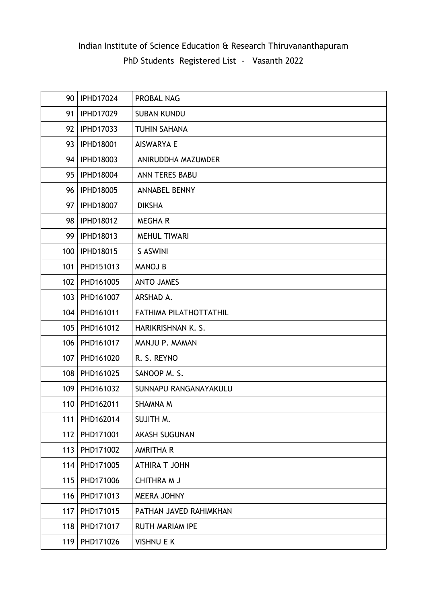| 90  | <b>IPHD17024</b> | PROBAL NAG                    |
|-----|------------------|-------------------------------|
| 91  | <b>IPHD17029</b> | <b>SUBAN KUNDU</b>            |
| 92  | <b>IPHD17033</b> | <b>TUHIN SAHANA</b>           |
| 93  | <b>IPHD18001</b> | <b>AISWARYA E</b>             |
| 94  | <b>IPHD18003</b> | ANIRUDDHA MAZUMDER            |
| 95  | <b>IPHD18004</b> | <b>ANN TERES BABU</b>         |
| 96  | <b>IPHD18005</b> | <b>ANNABEL BENNY</b>          |
| 97  | <b>IPHD18007</b> | <b>DIKSHA</b>                 |
| 98  | <b>IPHD18012</b> | <b>MEGHAR</b>                 |
| 99  | <b>IPHD18013</b> | <b>MEHUL TIWARI</b>           |
| 100 | <b>IPHD18015</b> | S ASWINI                      |
| 101 | PHD151013        | <b>MANOJ B</b>                |
| 102 | PHD161005        | <b>ANTO JAMES</b>             |
| 103 | PHD161007        | ARSHAD A.                     |
| 104 | PHD161011        | <b>FATHIMA PILATHOTTATHIL</b> |
| 105 | PHD161012        | HARIKRISHNAN K. S.            |
| 106 | PHD161017        | MANJU P. MAMAN                |
| 107 | PHD161020        | R. S. REYNO                   |
| 108 | PHD161025        | SANOOP M.S.                   |
| 109 | PHD161032        | SUNNAPU RANGANAYAKULU         |
| 110 | PHD162011        | SHAMNA M                      |
| 111 | PHD162014        | SUJITH M.                     |
| 112 | PHD171001        | <b>AKASH SUGUNAN</b>          |
| 113 | PHD171002        | <b>AMRITHA R</b>              |
| 114 | PHD171005        | <b>ATHIRA T JOHN</b>          |
| 115 | PHD171006        | <b>CHITHRA M J</b>            |
| 116 | PHD171013        | <b>MEERA JOHNY</b>            |
| 117 | PHD171015        | PATHAN JAVED RAHIMKHAN        |
| 118 | PHD171017        | <b>RUTH MARIAM IPE</b>        |
| 119 | PHD171026        | <b>VISHNU E K</b>             |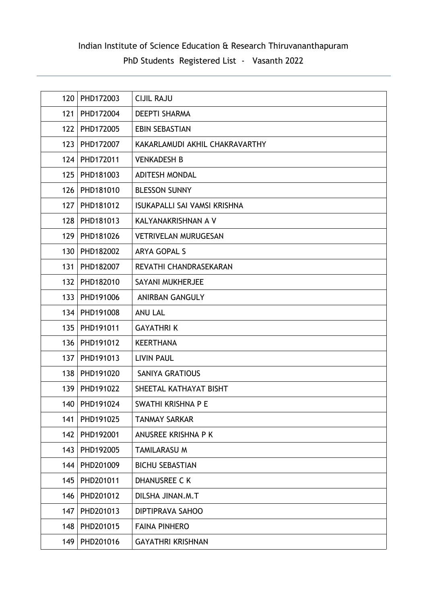| 120 | PHD172003       | <b>CIJIL RAJU</b>              |
|-----|-----------------|--------------------------------|
| 121 | PHD172004       | <b>DEEPTI SHARMA</b>           |
| 122 | PHD172005       | <b>EBIN SEBASTIAN</b>          |
| 123 | PHD172007       | KAKARLAMUDI AKHIL CHAKRAVARTHY |
| 124 | PHD172011       | <b>VENKADESH B</b>             |
| 125 | PHD181003       | <b>ADITESH MONDAL</b>          |
| 126 | PHD181010       | <b>BLESSON SUNNY</b>           |
| 127 | PHD181012       | ISUKAPALLI SAI VAMSI KRISHNA   |
| 128 | PHD181013       | KALYANAKRISHNAN A V            |
| 129 | PHD181026       | <b>VETRIVELAN MURUGESAN</b>    |
|     | 130 PHD182002   | <b>ARYA GOPAL S</b>            |
| 131 | PHD182007       | REVATHI CHANDRASEKARAN         |
| 132 | PHD182010       | SAYANI MUKHERJEE               |
| 133 | PHD191006       | <b>ANIRBAN GANGULY</b>         |
|     | 134   PHD191008 | <b>ANU LAL</b>                 |
|     | 135   PHD191011 | <b>GAYATHRIK</b>               |
| 136 | PHD191012       | <b>KEERTHANA</b>               |
| 137 | PHD191013       | <b>LIVIN PAUL</b>              |
| 138 | PHD191020       | <b>SANIYA GRATIOUS</b>         |
| 139 | PHD191022       | SHEETAL KATHAYAT BISHT         |
|     | 140   PHD191024 | SWATHI KRISHNA P E             |
| 141 | PHD191025       | <b>TANMAY SARKAR</b>           |
| 142 | PHD192001       | ANUSREE KRISHNA P K            |
| 143 | PHD192005       | <b>TAMILARASU M</b>            |
| 144 | PHD201009       | <b>BICHU SEBASTIAN</b>         |
| 145 | PHD201011       | <b>DHANUSREE C K</b>           |
| 146 | PHD201012       | DILSHA JINAN.M.T               |
| 147 | PHD201013       | DIPTIPRAVA SAHOO               |
| 148 | PHD201015       | <b>FAINA PINHERO</b>           |
| 149 | PHD201016       | <b>GAYATHRI KRISHNAN</b>       |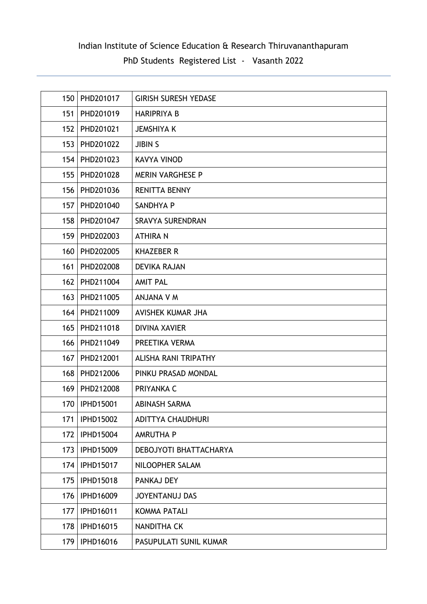| 150 | PHD201017        | <b>GIRISH SURESH YEDASE</b> |
|-----|------------------|-----------------------------|
| 151 | PHD201019        | <b>HARIPRIYA B</b>          |
| 152 | PHD201021        | <b>JEMSHIYA K</b>           |
| 153 | PHD201022        | <b>JIBIN S</b>              |
| 154 | PHD201023        | <b>KAVYA VINOD</b>          |
| 155 | PHD201028        | <b>MERIN VARGHESE P</b>     |
| 156 | PHD201036        | <b>RENITTA BENNY</b>        |
| 157 | PHD201040        | SANDHYA P                   |
| 158 | PHD201047        | <b>SRAVYA SURENDRAN</b>     |
| 159 | PHD202003        | <b>ATHIRAN</b>              |
| 160 | PHD202005        | <b>KHAZEBER R</b>           |
| 161 | PHD202008        | <b>DEVIKA RAJAN</b>         |
| 162 | PHD211004        | <b>AMIT PAL</b>             |
| 163 | PHD211005        | <b>ANJANA V M</b>           |
| 164 | PHD211009        | AVISHEK KUMAR JHA           |
| 165 | PHD211018        | <b>DIVINA XAVIER</b>        |
| 166 | PHD211049        | PREETIKA VERMA              |
| 167 | PHD212001        | <b>ALISHA RANI TRIPATHY</b> |
| 168 | PHD212006        | PINKU PRASAD MONDAL         |
| 169 | PHD212008        | PRIYANKA C                  |
| 170 | <b>IPHD15001</b> | ABINASH SARMA               |
| 171 | <b>IPHD15002</b> | <b>ADITTYA CHAUDHURI</b>    |
| 172 | <b>IPHD15004</b> | <b>AMRUTHA P</b>            |
| 173 | <b>IPHD15009</b> | DEBOJYOTI BHATTACHARYA      |
| 174 | <b>IPHD15017</b> | NILOOPHER SALAM             |
| 175 | <b>IPHD15018</b> | PANKAJ DEY                  |
| 176 | IPHD16009        | <b>JOYENTANUJ DAS</b>       |
| 177 | IPHD16011        | <b>KOMMA PATALI</b>         |
| 178 | <b>IPHD16015</b> | <b>NANDITHA CK</b>          |
| 179 | <b>IPHD16016</b> | PASUPULATI SUNIL KUMAR      |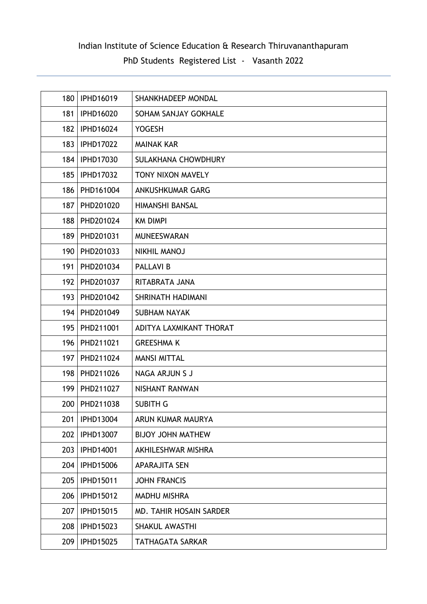| 180 | <b>IPHD16019</b> | SHANKHADEEP MONDAL       |
|-----|------------------|--------------------------|
| 181 | <b>IPHD16020</b> | SOHAM SANJAY GOKHALE     |
| 182 | <b>IPHD16024</b> | <b>YOGESH</b>            |
| 183 | <b>IPHD17022</b> | <b>MAINAK KAR</b>        |
| 184 | <b>IPHD17030</b> | SULAKHANA CHOWDHURY      |
| 185 | <b>IPHD17032</b> | TONY NIXON MAVELY        |
| 186 | PHD161004        | ANKUSHKUMAR GARG         |
| 187 | PHD201020        | HIMANSHI BANSAL          |
| 188 | PHD201024        | <b>KM DIMPI</b>          |
| 189 | PHD201031        | <b>MUNEESWARAN</b>       |
| 190 | PHD201033        | <b>NIKHIL MANOJ</b>      |
| 191 | PHD201034        | <b>PALLAVI B</b>         |
| 192 | PHD201037        | RITABRATA JANA           |
| 193 | PHD201042        | SHRINATH HADIMANI        |
| 194 | PHD201049        | <b>SUBHAM NAYAK</b>      |
| 195 | PHD211001        | ADITYA LAXMIKANT THORAT  |
| 196 | PHD211021        | <b>GREESHMA K</b>        |
| 197 | PHD211024        | <b>MANSI MITTAL</b>      |
| 198 | PHD211026        | NAGA ARJUN S J           |
| 199 | PHD211027        | NISHANT RANWAN           |
|     | 200   PHD211038  | <b>SUBITH G</b>          |
| 201 | <b>IPHD13004</b> | ARUN KUMAR MAURYA        |
| 202 | <b>IPHD13007</b> | <b>BIJOY JOHN MATHEW</b> |
| 203 | <b>IPHD14001</b> | AKHILESHWAR MISHRA       |
| 204 | <b>IPHD15006</b> | <b>APARAJITA SEN</b>     |
| 205 | IPHD15011        | <b>JOHN FRANCIS</b>      |
| 206 | <b>IPHD15012</b> | <b>MADHU MISHRA</b>      |
| 207 | <b>IPHD15015</b> | MD. TAHIR HOSAIN SARDER  |
| 208 | IPHD15023        | <b>SHAKUL AWASTHI</b>    |
| 209 | <b>IPHD15025</b> | <b>TATHAGATA SARKAR</b>  |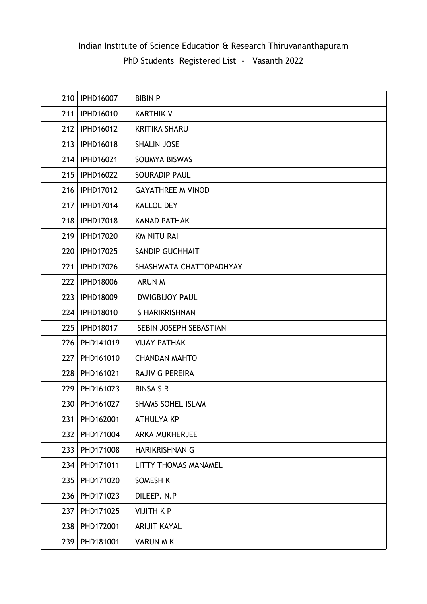| 210 | <b>IPHD16007</b> | <b>BIBIN P</b>              |
|-----|------------------|-----------------------------|
| 211 | <b>IPHD16010</b> | <b>KARTHIK V</b>            |
| 212 | <b>IPHD16012</b> | <b>KRITIKA SHARU</b>        |
| 213 | <b>IPHD16018</b> | <b>SHALIN JOSE</b>          |
| 214 | <b>IPHD16021</b> | SOUMYA BISWAS               |
| 215 | <b>IPHD16022</b> | <b>SOURADIP PAUL</b>        |
| 216 | <b>IPHD17012</b> | <b>GAYATHREE M VINOD</b>    |
| 217 | <b>IPHD17014</b> | <b>KALLOL DEY</b>           |
| 218 | <b>IPHD17018</b> | <b>KANAD PATHAK</b>         |
| 219 | <b>IPHD17020</b> | <b>KM NITU RAI</b>          |
| 220 | <b>IPHD17025</b> | <b>SANDIP GUCHHAIT</b>      |
| 221 | <b>IPHD17026</b> | SHASHWATA CHATTOPADHYAY     |
| 222 | <b>IPHD18006</b> | <b>ARUN M</b>               |
| 223 | <b>IPHD18009</b> | <b>DWIGBIJOY PAUL</b>       |
| 224 | <b>IPHD18010</b> | S HARIKRISHNAN              |
| 225 | <b>IPHD18017</b> | SEBIN JOSEPH SEBASTIAN      |
| 226 | PHD141019        | <b>VIJAY PATHAK</b>         |
| 227 | PHD161010        | <b>CHANDAN MAHTO</b>        |
| 228 | PHD161021        | <b>RAJIV G PEREIRA</b>      |
| 229 | PHD161023        | <b>RINSA S R</b>            |
| 230 | PHD161027        | <b>SHAMS SOHEL ISLAM</b>    |
| 231 | PHD162001        | <b>ATHULYA KP</b>           |
| 232 | PHD171004        | <b>ARKA MUKHERJEE</b>       |
| 233 | PHD171008        | HARIKRISHNAN G              |
| 234 | PHD171011        | <b>LITTY THOMAS MANAMEL</b> |
| 235 | PHD171020        | SOMESH K                    |
| 236 | PHD171023        | DILEEP. N.P                 |
| 237 | PHD171025        | <b>VIJITH K P</b>           |
| 238 | PHD172001        | <b>ARIJIT KAYAL</b>         |
| 239 | PHD181001        | <b>VARUN M K</b>            |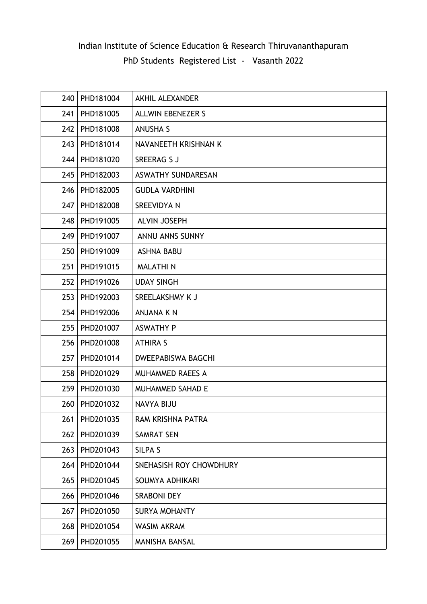| 240 | PHD181004 | <b>AKHIL ALEXANDER</b>    |
|-----|-----------|---------------------------|
| 241 | PHD181005 | <b>ALLWIN EBENEZER S</b>  |
| 242 | PHD181008 | <b>ANUSHA S</b>           |
| 243 | PHD181014 | NAVANEETH KRISHNAN K      |
| 244 | PHD181020 | <b>SREERAG S J</b>        |
| 245 | PHD182003 | ASWATHY SUNDARESAN        |
| 246 | PHD182005 | <b>GUDLA VARDHINI</b>     |
| 247 | PHD182008 | SREEVIDYA N               |
| 248 | PHD191005 | <b>ALVIN JOSEPH</b>       |
| 249 | PHD191007 | <b>ANNU ANNS SUNNY</b>    |
| 250 | PHD191009 | <b>ASHNA BABU</b>         |
| 251 | PHD191015 | <b>MALATHIN</b>           |
| 252 | PHD191026 | <b>UDAY SINGH</b>         |
| 253 | PHD192003 | SREELAKSHMY K J           |
| 254 | PHD192006 | <b>ANJANA K N</b>         |
| 255 | PHD201007 | <b>ASWATHY P</b>          |
| 256 | PHD201008 | <b>ATHIRA S</b>           |
| 257 | PHD201014 | <b>DWEEPABISWA BAGCHI</b> |
| 258 | PHD201029 | <b>MUHAMMED RAEES A</b>   |
| 259 | PHD201030 | <b>MUHAMMED SAHAD E</b>   |
| 260 | PHD201032 | <b>NAVYA BIJU</b>         |
| 261 | PHD201035 | RAM KRISHNA PATRA         |
| 262 | PHD201039 | <b>SAMRAT SEN</b>         |
| 263 | PHD201043 | <b>SILPA S</b>            |
| 264 | PHD201044 | SNEHASISH ROY CHOWDHURY   |
| 265 | PHD201045 | SOUMYA ADHIKARI           |
| 266 | PHD201046 | <b>SRABONI DEY</b>        |
| 267 | PHD201050 | <b>SURYA MOHANTY</b>      |
| 268 | PHD201054 | <b>WASIM AKRAM</b>        |
| 269 | PHD201055 | <b>MANISHA BANSAL</b>     |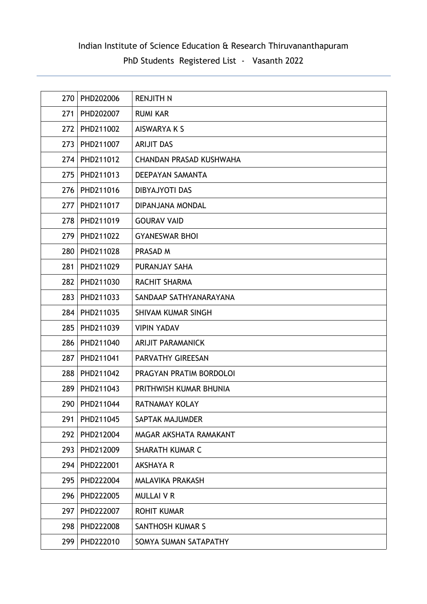| 270 | PHD202006 | <b>RENJITH N</b>               |
|-----|-----------|--------------------------------|
| 271 | PHD202007 | <b>RUMI KAR</b>                |
| 272 | PHD211002 | AISWARYA K S                   |
| 273 | PHD211007 | <b>ARIJIT DAS</b>              |
| 274 | PHD211012 | <b>CHANDAN PRASAD KUSHWAHA</b> |
| 275 | PHD211013 | DEEPAYAN SAMANTA               |
| 276 | PHD211016 | <b>DIBYAJYOTI DAS</b>          |
| 277 | PHD211017 | DIPANJANA MONDAL               |
| 278 | PHD211019 | <b>GOURAV VAID</b>             |
| 279 | PHD211022 | <b>GYANESWAR BHOI</b>          |
| 280 | PHD211028 | PRASAD M                       |
| 281 | PHD211029 | PURANJAY SAHA                  |
| 282 | PHD211030 | RACHIT SHARMA                  |
| 283 | PHD211033 | SANDAAP SATHYANARAYANA         |
| 284 | PHD211035 | SHIVAM KUMAR SINGH             |
| 285 | PHD211039 | <b>VIPIN YADAV</b>             |
| 286 | PHD211040 | <b>ARIJIT PARAMANICK</b>       |
| 287 | PHD211041 | PARVATHY GIREESAN              |
| 288 | PHD211042 | PRAGYAN PRATIM BORDOLOI        |
| 289 | PHD211043 | PRITHWISH KUMAR BHUNIA         |
| 290 | PHD211044 | RATNAMAY KOLAY                 |
| 291 | PHD211045 | SAPTAK MAJUMDER                |
| 292 | PHD212004 | MAGAR AKSHATA RAMAKANT         |
| 293 | PHD212009 | <b>SHARATH KUMAR C</b>         |
| 294 | PHD222001 | <b>AKSHAYA R</b>               |
| 295 | PHD222004 | <b>MALAVIKA PRAKASH</b>        |
| 296 | PHD222005 | <b>MULLAIVR</b>                |
| 297 | PHD222007 | <b>ROHIT KUMAR</b>             |
| 298 | PHD222008 | <b>SANTHOSH KUMAR S</b>        |
| 299 | PHD222010 | SOMYA SUMAN SATAPATHY          |